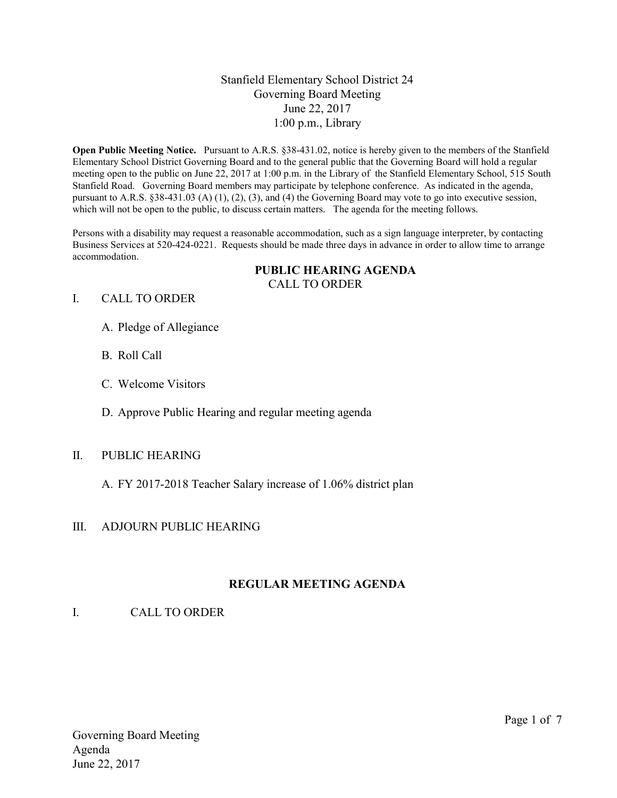### Stanfield Elementary School District 24 Governing Board Meeting June 22, 2017 1:00 p.m., Library

Open Public Meeting Notice. Pursuant to A.R.S. §38-431.02, notice is hereby given to the members of the Stanfield Elementary School District Governing Board and to the general public that the Governing Board will hold a regular meeting open to the public on June 22, 2017 at 1:00 p.m. in the Library of the Stanfield Elementary School, 515 South Stanfield Road. Governing Board members may participate by telephone conference. As indicated in the agenda, pursuant to A.R.S. §38-431.03 (A) (1), (2), (3), and (4) the Governing Board may vote to go into executive session, which will not be open to the public, to discuss certain matters. The agenda for the meeting follows.

Persons with a disability may request a reasonable accommodation, such as a sign language interpreter, by contacting Business Services at 520-424-0221. Requests should be made three days in advance in order to allow time to arrange accommodation.

#### PUBLIC HEARING AGENDA CALL TO ORDER

#### I. CALL TO ORDER

- A. Pledge of Allegiance
- B. Roll Call
- C. Welcome Visitors
- D. Approve Public Hearing and regular meeting agenda

### II. PUBLIC HEARING

A. FY 2017-2018 Teacher Salary increase of 1.06% district plan

### III. ADJOURN PUBLIC HEARING

### REGULAR MEETING AGENDA

I. CALL TO ORDER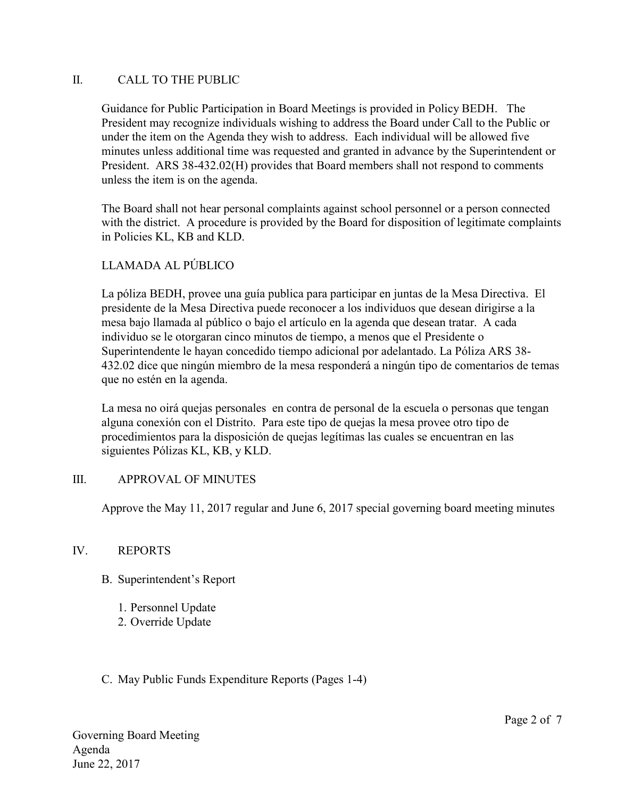### II. CALL TO THE PUBLIC

Guidance for Public Participation in Board Meetings is provided in Policy BEDH. The President may recognize individuals wishing to address the Board under Call to the Public or under the item on the Agenda they wish to address. Each individual will be allowed five minutes unless additional time was requested and granted in advance by the Superintendent or President. ARS 38-432.02(H) provides that Board members shall not respond to comments unless the item is on the agenda.

The Board shall not hear personal complaints against school personnel or a person connected with the district. A procedure is provided by the Board for disposition of legitimate complaints in Policies KL, KB and KLD.

### LLAMADA AL PÚBLICO

La póliza BEDH, provee una guía publica para participar en juntas de la Mesa Directiva. El presidente de la Mesa Directiva puede reconocer a los individuos que desean dirigirse a la mesa bajo llamada al público o bajo el artículo en la agenda que desean tratar. A cada individuo se le otorgaran cinco minutos de tiempo, a menos que el Presidente o Superintendente le hayan concedido tiempo adicional por adelantado. La Póliza ARS 38- 432.02 dice que ningún miembro de la mesa responderá a ningún tipo de comentarios de temas que no estén en la agenda.

La mesa no oirá quejas personales en contra de personal de la escuela o personas que tengan alguna conexión con el Distrito. Para este tipo de quejas la mesa provee otro tipo de procedimientos para la disposición de quejas legítimas las cuales se encuentran en las siguientes Pólizas KL, KB, y KLD.

### III. APPROVAL OF MINUTES

Approve the May 11, 2017 regular and June 6, 2017 special governing board meeting minutes

### IV. REPORTS

- B. Superintendent's Report
	- 1. Personnel Update
	- 2. Override Update

### C. May Public Funds Expenditure Reports (Pages 1-4)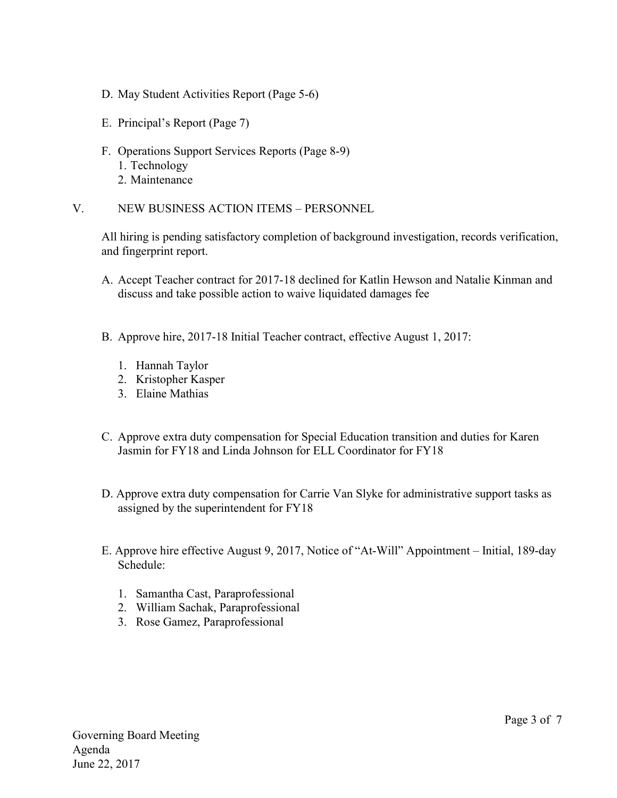- D. May Student Activities Report (Page 5-6)
- E. Principal's Report (Page 7)
- F. Operations Support Services Reports (Page 8-9) 1. Technology 2. Maintenance

V. NEW BUSINESS ACTION ITEMS – PERSONNEL

All hiring is pending satisfactory completion of background investigation, records verification, and fingerprint report.

- A. Accept Teacher contract for 2017-18 declined for Katlin Hewson and Natalie Kinman and discuss and take possible action to waive liquidated damages fee
- B. Approve hire, 2017-18 Initial Teacher contract, effective August 1, 2017:
	- 1. Hannah Taylor
	- 2. Kristopher Kasper
	- 3. Elaine Mathias
- C. Approve extra duty compensation for Special Education transition and duties for Karen Jasmin for FY18 and Linda Johnson for ELL Coordinator for FY18
- D. Approve extra duty compensation for Carrie Van Slyke for administrative support tasks as assigned by the superintendent for FY18
- E. Approve hire effective August 9, 2017, Notice of "At-Will" Appointment Initial, 189-day Schedule:
	- 1. Samantha Cast, Paraprofessional
	- 2. William Sachak, Paraprofessional
	- 3. Rose Gamez, Paraprofessional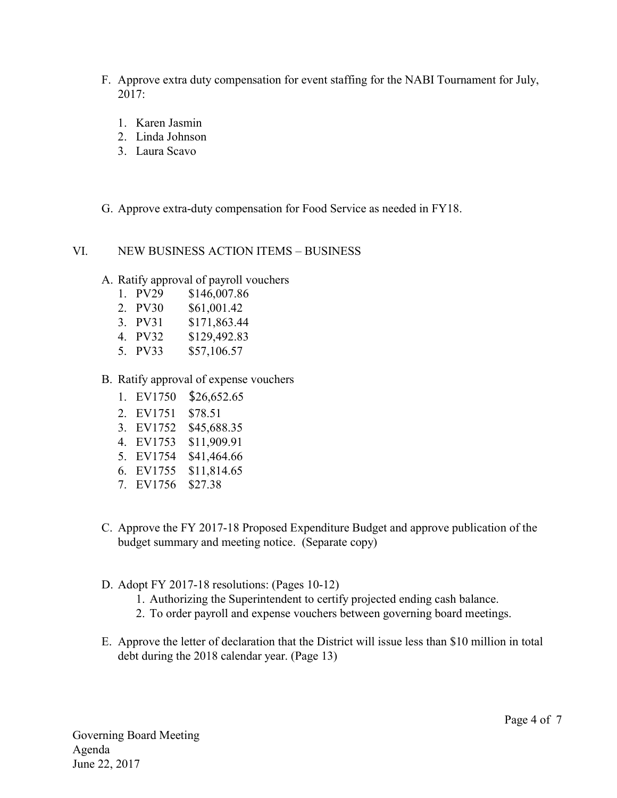- F. Approve extra duty compensation for event staffing for the NABI Tournament for July, 2017:
	- 1. Karen Jasmin
	- 2. Linda Johnson
	- 3. Laura Scavo
- G. Approve extra-duty compensation for Food Service as needed in FY18.

#### VI. NEW BUSINESS ACTION ITEMS – BUSINESS

- A. Ratify approval of payroll vouchers
	- 1. PV29 \$146,007.86
	- 2. PV30 \$61,001.42
	- 3. PV31 \$171,863.44
	- 4. PV32 \$129,492.83
	- 5. PV33 \$57,106.57
- B. Ratify approval of expense vouchers
	- 1. EV1750 \$26,652.65
	- 2. EV1751 \$78.51
	- 3. EV1752 \$45,688.35
	- 4. EV1753 \$11,909.91
	- 5. EV1754 \$41,464.66
	- 6. EV1755 \$11,814.65
	- 7. EV1756 \$27.38
- C. Approve the FY 2017-18 Proposed Expenditure Budget and approve publication of the budget summary and meeting notice. (Separate copy)
- D. Adopt FY 2017-18 resolutions: (Pages 10-12)
	- 1. Authorizing the Superintendent to certify projected ending cash balance.
	- 2. To order payroll and expense vouchers between governing board meetings.
- E. Approve the letter of declaration that the District will issue less than \$10 million in total debt during the 2018 calendar year. (Page 13)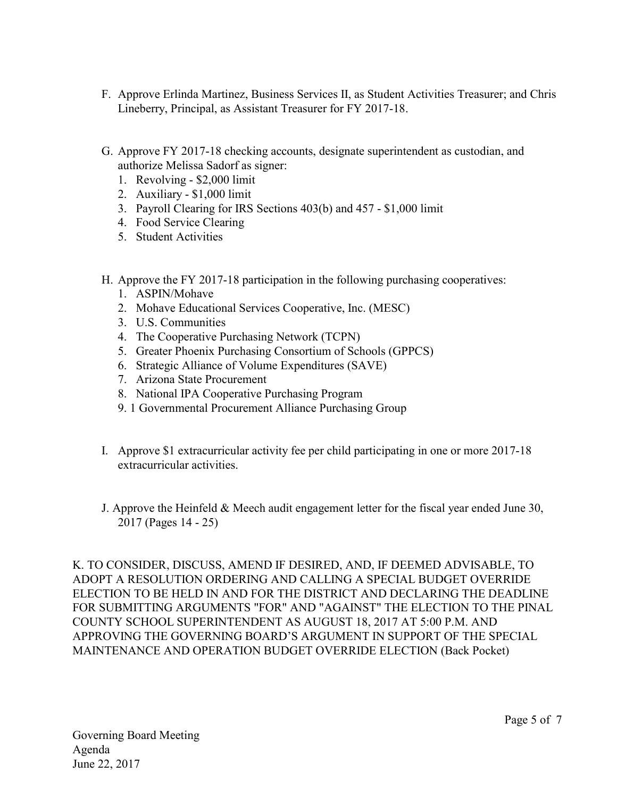- F. Approve Erlinda Martinez, Business Services II, as Student Activities Treasurer; and Chris Lineberry, Principal, as Assistant Treasurer for FY 2017-18.
- G. Approve FY 2017-18 checking accounts, designate superintendent as custodian, and authorize Melissa Sadorf as signer:
	- 1. Revolving \$2,000 limit
	- 2. Auxiliary \$1,000 limit
	- 3. Payroll Clearing for IRS Sections 403(b) and 457 \$1,000 limit
	- 4. Food Service Clearing
	- 5. Student Activities
- H. Approve the FY 2017-18 participation in the following purchasing cooperatives:
	- 1. ASPIN/Mohave
	- 2. Mohave Educational Services Cooperative, Inc. (MESC)
	- 3. U.S. Communities
	- 4. The Cooperative Purchasing Network (TCPN)
	- 5. Greater Phoenix Purchasing Consortium of Schools (GPPCS)
	- 6. Strategic Alliance of Volume Expenditures (SAVE)
	- 7. Arizona State Procurement
	- 8. National IPA Cooperative Purchasing Program
	- 9. 1 Governmental Procurement Alliance Purchasing Group
- I. Approve \$1 extracurricular activity fee per child participating in one or more 2017-18 extracurricular activities.
- J. Approve the Heinfeld & Meech audit engagement letter for the fiscal year ended June 30, 2017 (Pages 14 - 25)

K. TO CONSIDER, DISCUSS, AMEND IF DESIRED, AND, IF DEEMED ADVISABLE, TO ADOPT A RESOLUTION ORDERING AND CALLING A SPECIAL BUDGET OVERRIDE ELECTION TO BE HELD IN AND FOR THE DISTRICT AND DECLARING THE DEADLINE FOR SUBMITTING ARGUMENTS "FOR" AND "AGAINST" THE ELECTION TO THE PINAL COUNTY SCHOOL SUPERINTENDENT AS AUGUST 18, 2017 AT 5:00 P.M. AND APPROVING THE GOVERNING BOARD'S ARGUMENT IN SUPPORT OF THE SPECIAL MAINTENANCE AND OPERATION BUDGET OVERRIDE ELECTION (Back Pocket)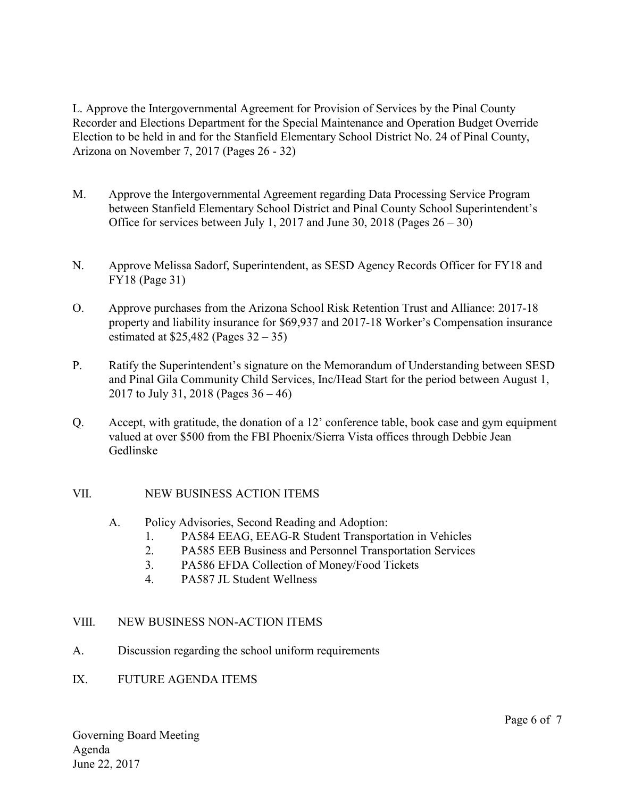L. Approve the Intergovernmental Agreement for Provision of Services by the Pinal County Recorder and Elections Department for the Special Maintenance and Operation Budget Override Election to be held in and for the Stanfield Elementary School District No. 24 of Pinal County, Arizona on November 7, 2017 (Pages 26 - 32)

- M. Approve the Intergovernmental Agreement regarding Data Processing Service Program between Stanfield Elementary School District and Pinal County School Superintendent's Office for services between July 1, 2017 and June 30, 2018 (Pages  $26 - 30$ )
- N. Approve Melissa Sadorf, Superintendent, as SESD Agency Records Officer for FY18 and FY18 (Page 31)
- O. Approve purchases from the Arizona School Risk Retention Trust and Alliance: 2017-18 property and liability insurance for \$69,937 and 2017-18 Worker's Compensation insurance estimated at  $$25,482$  (Pages  $32 - 35$ )
- P. Ratify the Superintendent's signature on the Memorandum of Understanding between SESD and Pinal Gila Community Child Services, Inc/Head Start for the period between August 1, 2017 to July 31, 2018 (Pages 36 – 46)
- Q. Accept, with gratitude, the donation of a 12' conference table, book case and gym equipment valued at over \$500 from the FBI Phoenix/Sierra Vista offices through Debbie Jean Gedlinske

### VII. NEW BUSINESS ACTION ITEMS

- A. Policy Advisories, Second Reading and Adoption:
	- 1. PA584 EEAG, EEAG-R Student Transportation in Vehicles
	- 2. PA585 EEB Business and Personnel Transportation Services
	- 3. PA586 EFDA Collection of Money/Food Tickets
	- 4. PA587 JL Student Wellness

# VIII. NEW BUSINESS NON-ACTION ITEMS

- A. Discussion regarding the school uniform requirements
- IX. FUTURE AGENDA ITEMS